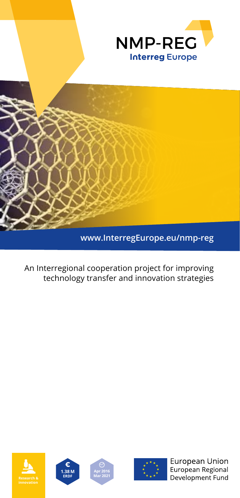



An Interregional cooperation project for improving technology transfer and innovation strategies









European Union European Regional Development Fund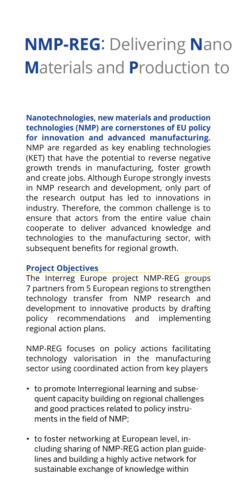# **NMP-REG**: Delivering **N**ano **M**aterials and **P**roduction to

**Nanotechnologies, new materials and production technologies (NMP) are cornerstones of EU policy for innovation and advanced manufacturing.** NMP are regarded as key enabling technologies (KET) that have the potential to reverse negative growth trends in manufacturing, foster growth and create jobs. Although Europe strongly invests in NMP research and development, only part of the research output has led to innovations in industry. Therefore, the common challenge is to ensure that actors from the entire value chain cooperate to deliver advanced knowledge and technologies to the manufacturing sector, with subsequent benefits for regional growth.

#### **Project Objectives**

The Interreg Europe project NMP-REG groups 7 partners from 5 European regions to strengthen technology transfer from NMP research and development to innovative products by drafting policy recommendations and implementing regional action plans.

NMP-REG focuses on policy actions facilitating technology valorisation in the manufacturing sector using coordinated action from key players

- to promote Interregional learning and subsequent capacity building on regional challenges and good practices related to policy instruments in the field of NMP;
- to foster networking at European level, including sharing of NMP-REG action plan guidelines and building a highly active network for sustainable exchange of knowledge within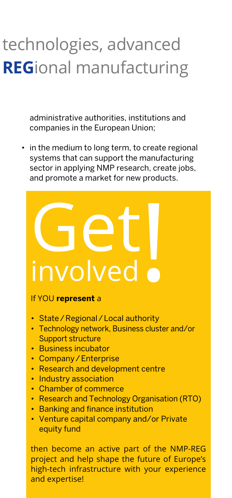# technologies, advanced **REG**ional manufacturing

administrative authorities, institutions and companies in the European Union;

• in the medium to long term, to create regional systems that can support the manufacturing sector in applying NMP research, create jobs, and promote a market for new products.

# Get

If YOU **represent** a

- State/Regional/Local authority
- Technology network, Business cluster and/or Support structure
- • Business incubator
- Company/Enterprise
- • Research and development centre
- Industry association
- • Chamber of commerce
- Research and Technology Organisation (RTO)
- Banking and finance institution
- • Venture capital company and/or Private equity fund

then become an active part of the NMP-REG project and help shape the future of Europe's high-tech infrastructure with your experience and expertise!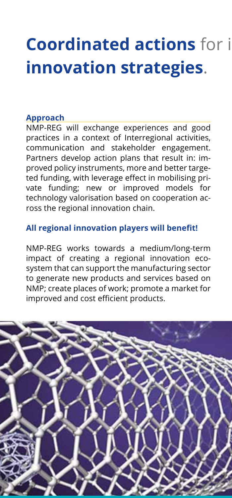## **Coordinated actions** for i **innovation strategies**.

#### **Approach**

NMP-REG will exchange experiences and good practices in a context of Interregional activities, communication and stakeholder engagement. Partners develop action plans that result in: improved policy instruments, more and better targeted funding, with leverage effect in mobilising private funding; new or improved models for technology valorisation based on cooperation across the regional innovation chain.

#### **All regional innovation players will benefit!**

NMP-REG works towards a medium/long-term impact of creating a regional innovation ecosystem that can support the manufacturing sector to generate new products and services based on NMP; create places of work; promote a market for improved and cost efficient products.

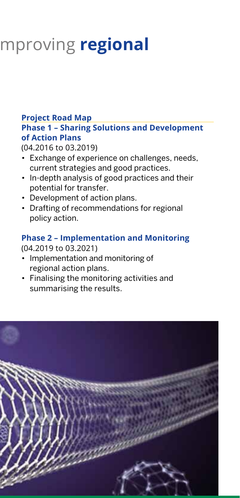## **Coordinated actions** for improving **regional**

#### **Project Road Map Phase 1 – Sharing Solutions and Development of Action Plans**

(04.2016 to 03.2019)

- Exchange of experience on challenges, needs, current strategies and good practices.
- In-depth analysis of good practices and their potential for transfer.
- Development of action plans.
- Drafting of recommendations for regional policy action.

#### **Phase 2 – Implementation and Monitoring** (04.2019 to 03.2021)

- Implementation and monitoring of regional action plans.
- • Finalising the monitoring activities and summarising the results.

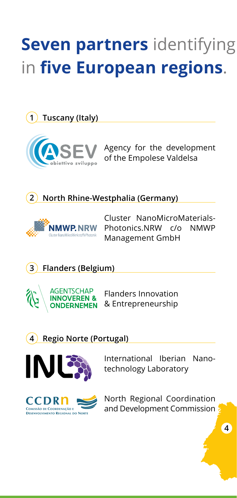## **Seven partners** identifying in **five European regions**.

**1 Tuscany (Italy)**



Agency for the development of the Empolese Valdelsa

#### **2 North Rhine-Westphalia (Germany)**



Cluster NanoMicroMaterials-Photonics.NRW c/o NMWP Management GmbH

**3 Flanders (Belgium)**



Flanders Innovation & Entrepreneurship

**4 Regio Norte (Portugal)**



International Iberian Nanotechnology Laboratory



North Regional Coordination and Development Commission

**4**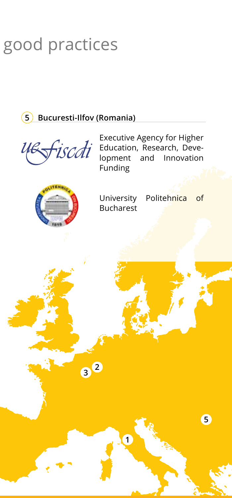## good practices

#### **5 Bucuresti-Ilfov (Romania)**

Executive Agency for Higher uefiscti Education, Research, Deve-<br>lopment and Innovation Innovation Funding University Politehnica of Bucharest**<sup>2</sup> <sup>3</sup> 5 1**